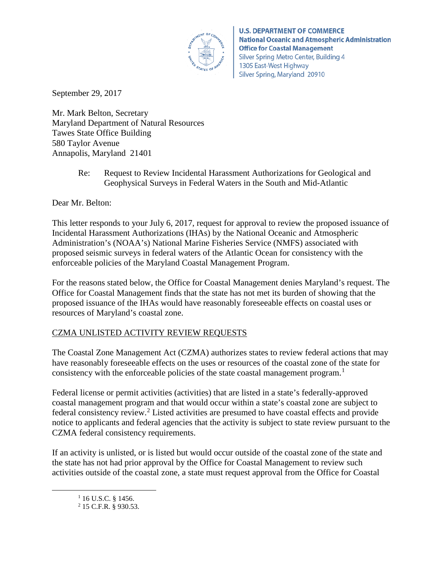

**U.S. DEPARTMENT OF COMMERCE National Oceanic and Atmospheric Administration Office for Coastal Management** Silver Spring Metro Center, Building 4 1305 East-West Highway Silver Spring, Maryland 20910

September 29, 2017

Mr. Mark Belton, Secretary Maryland Department of Natural Resources Tawes State Office Building 580 Taylor Avenue Annapolis, Maryland 21401

> Re: Request to Review Incidental Harassment Authorizations for Geological and Geophysical Surveys in Federal Waters in the South and Mid-Atlantic

Dear Mr. Belton:

This letter responds to your July 6, 2017, request for approval to review the proposed issuance of Incidental Harassment Authorizations (IHAs) by the National Oceanic and Atmospheric Administration's (NOAA's) National Marine Fisheries Service (NMFS) associated with proposed seismic surveys in federal waters of the Atlantic Ocean for consistency with the enforceable policies of the Maryland Coastal Management Program.

For the reasons stated below, the Office for Coastal Management denies Maryland's request. The Office for Coastal Management finds that the state has not met its burden of showing that the proposed issuance of the IHAs would have reasonably foreseeable effects on coastal uses or resources of Maryland's coastal zone.

# CZMA UNLISTED ACTIVITY REVIEW REQUESTS

The Coastal Zone Management Act (CZMA) authorizes states to review federal actions that may have reasonably foreseeable effects on the uses or resources of the coastal zone of the state for consistency with the enforceable policies of the state coastal management program.<sup>[1](#page-0-0)</sup>

Federal license or permit activities (activities) that are listed in a state's federally-approved coastal management program and that would occur within a state's coastal zone are subject to federal consistency review.[2](#page-0-1) Listed activities are presumed to have coastal effects and provide notice to applicants and federal agencies that the activity is subject to state review pursuant to the CZMA federal consistency requirements.

<span id="page-0-1"></span><span id="page-0-0"></span>If an activity is unlisted, or is listed but would occur outside of the coastal zone of the state and the state has not had prior approval by the Office for Coastal Management to review such activities outside of the coastal zone, a state must request approval from the Office for Coastal

 $1$  16 U.S.C. § 1456.

<sup>2</sup> 15 C.F.R. § 930.53.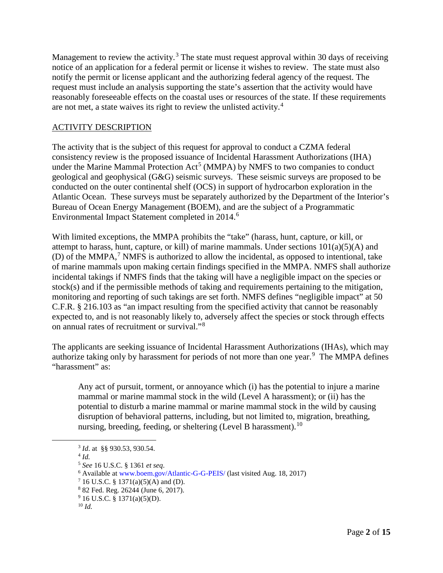Management to review the activity.<sup>[3](#page-1-0)</sup> The state must request approval within 30 days of receiving notice of an application for a federal permit or license it wishes to review. The state must also notify the permit or license applicant and the authorizing federal agency of the request. The request must include an analysis supporting the state's assertion that the activity would have reasonably foreseeable effects on the coastal uses or resources of the state. If these requirements are not met, a state waives its right to review the unlisted activity.[4](#page-1-1)

## ACTIVITY DESCRIPTION

The activity that is the subject of this request for approval to conduct a CZMA federal consistency review is the proposed issuance of Incidental Harassment Authorizations (IHA) under the Marine Mammal Protection  $Act^5$  $Act^5$  (MMPA) by NMFS to two companies to conduct geological and geophysical (G&G) seismic surveys. These seismic surveys are proposed to be conducted on the outer continental shelf (OCS) in support of hydrocarbon exploration in the Atlantic Ocean. These surveys must be separately authorized by the Department of the Interior's Bureau of Ocean Energy Management (BOEM), and are the subject of a Programmatic Environmental Impact Statement completed in 2014.<sup>[6](#page-1-3)</sup>

With limited exceptions, the MMPA prohibits the "take" (harass, hunt, capture, or kill, or attempt to harass, hunt, capture, or kill) of marine mammals. Under sections  $101(a)(5)(A)$  and (D) of the MMPA, [7](#page-1-4) NMFS is authorized to allow the incidental, as opposed to intentional, take of marine mammals upon making certain findings specified in the MMPA. NMFS shall authorize incidental takings if NMFS finds that the taking will have a negligible impact on the species or stock(s) and if the permissible methods of taking and requirements pertaining to the mitigation, monitoring and reporting of such takings are set forth. NMFS defines "negligible impact" at 50 C.F.R. § 216.103 as "an impact resulting from the specified activity that cannot be reasonably expected to, and is not reasonably likely to, adversely affect the species or stock through effects on annual rates of recruitment or survival."[8](#page-1-5)

The applicants are seeking issuance of Incidental Harassment Authorizations (IHAs), which may authorize taking only by harassment for periods of not more than one year.<sup>[9](#page-1-6)</sup> The MMPA defines "harassment" as:

Any act of pursuit, torment, or annoyance which (i) has the potential to injure a marine mammal or marine mammal stock in the wild (Level A harassment); or (ii) has the potential to disturb a marine mammal or marine mammal stock in the wild by causing disruption of behavioral patterns, including, but not limited to, migration, breathing, nursing, breeding, feeding, or sheltering (Level B harassment).<sup>[10](#page-1-7)</sup>

 <sup>3</sup> *Id*. at §§ 930.53, 930.54.

<span id="page-1-2"></span><span id="page-1-1"></span><span id="page-1-0"></span><sup>4</sup> *Id.*

<sup>5</sup> *See* 16 U.S.C. § 1361 *et seq*.

<span id="page-1-3"></span><sup>6</sup> Available at [www.boem.gov/Atlantic-G-G-PEIS/](http://www.boem.gov/Atlantic-G-G-PEIS/) (last visited Aug. 18, 2017)

<span id="page-1-4"></span> $716$  U.S.C. § 1371(a)(5)(A) and (D).

<span id="page-1-5"></span><sup>8</sup> 82 Fed. Reg. 26244 (June 6, 2017).

 $9$  16 U.S.C. § 1371(a)(5)(D).

<span id="page-1-7"></span><span id="page-1-6"></span><sup>10</sup> *Id.*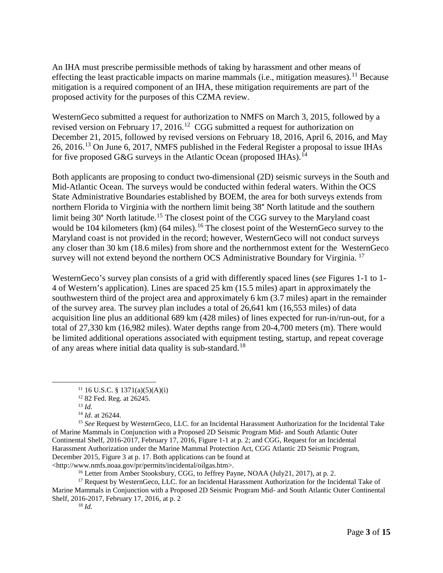An IHA must prescribe permissible methods of taking by harassment and other means of effecting the least practicable impacts on marine mammals (i.e., mitigation measures).<sup>[11](#page-2-0)</sup> Because mitigation is a required component of an IHA, these mitigation requirements are part of the proposed activity for the purposes of this CZMA review.

WesternGeco submitted a request for authorization to NMFS on March 3, 2015, followed by a revised version on February 17, 2016.<sup>[12](#page-2-1)</sup> CGG submitted a request for authorization on December 21, 2015, followed by revised versions on February 18, 2016, April 6, 2016, and May 26, 2016.[13](#page-2-2) On June 6, 2017, NMFS published in the Federal Register a proposal to issue IHAs for five proposed G&G surveys in the Atlantic Ocean (proposed IHAs).<sup>[14](#page-2-3)</sup>

Both applicants are proposing to conduct two-dimensional (2D) seismic surveys in the South and Mid-Atlantic Ocean. The surveys would be conducted within federal waters. Within the OCS State Administrative Boundaries established by BOEM, the area for both surveys extends from northern Florida to Virginia with the northern limit being 38° North latitude and the southern limit being 30° North latitude.<sup>[15](#page-2-4)</sup> The closest point of the CGG survey to the Maryland coast would be 104 kilometers (km) (64 miles).<sup>[16](#page-2-5)</sup> The closest point of the WesternGeco survey to the Maryland coast is not provided in the record; however, WesternGeco will not conduct surveys any closer than 30 km (18.6 miles) from shore and the northernmost extent for the WesternGeco survey will not extend beyond the northern OCS Administrative Boundary for Virginia.<sup>[17](#page-2-6)</sup>

WesternGeco's survey plan consists of a grid with differently spaced lines (*see* Figures 1-1 to 1- 4 of Western's application). Lines are spaced 25 km (15.5 miles) apart in approximately the southwestern third of the project area and approximately 6 km (3.7 miles) apart in the remainder of the survey area. The survey plan includes a total of 26,641 km (16,553 miles) of data acquisition line plus an additional 689 km (428 miles) of lines expected for run-in/run-out, for a total of 27,330 km (16,982 miles). Water depths range from 20-4,700 meters (m). There would be limited additional operations associated with equipment testing, startup, and repeat coverage of any areas where initial data quality is sub-standard.[18](#page-2-7)

<http://www.nmfs.noaa.gov/pr/permits/incidental/oilgas.htm>.

<sup>16</sup> Letter from Amber Stooksbury, CGG, to Jeffrey Payne, NOAA (July21, 2017), at p. 2.

<span id="page-2-7"></span><span id="page-2-6"></span><span id="page-2-5"></span><sup>17</sup> Request by WesternGeco, LLC. for an Incidental Harassment Authorization for the Incidental Take of Marine Mammals in Conjunction with a Proposed 2D Seismic Program Mid- and South Atlantic Outer Continental Shelf, 2016-2017, February 17, 2016, at p. 2

<sup>11</sup> 16 U.S.C. § 1371(a)(5)(A)(i) 12 82 Fed. Reg. at 26245.

<sup>13</sup> *Id.*

<sup>14</sup> *Id.* at 26244.

<span id="page-2-4"></span><span id="page-2-3"></span><span id="page-2-2"></span><span id="page-2-1"></span><span id="page-2-0"></span><sup>15</sup> *See* Request by WesternGeco, LLC. for an Incidental Harassment Authorization for the Incidental Take of Marine Mammals in Conjunction with a Proposed 2D Seismic Program Mid- and South Atlantic Outer Continental Shelf, 2016-2017, February 17, 2016, Figure 1-1 at p. 2; and CGG, Request for an Incidental Harassment Authorization under the Marine Mammal Protection Act, CGG Atlantic 2D Seismic Program, December 2015, Figure 3 at p. 17. Both applications can be found at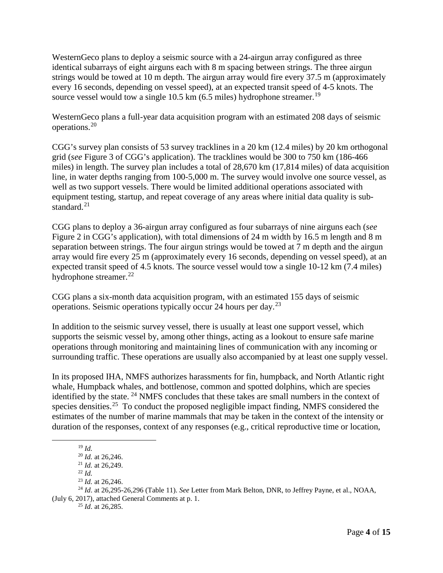WesternGeco plans to deploy a seismic source with a 24-airgun array configured as three identical subarrays of eight airguns each with 8 m spacing between strings. The three airgun strings would be towed at 10 m depth. The airgun array would fire every 37.5 m (approximately every 16 seconds, depending on vessel speed), at an expected transit speed of 4-5 knots. The source vessel would tow a single 10.5 km  $(6.5 \text{ miles})$  hydrophone streamer.<sup>[19](#page-3-0)</sup>

WesternGeco plans a full-year data acquisition program with an estimated 208 days of seismic operations.[20](#page-3-1)

CGG's survey plan consists of 53 survey tracklines in a 20 km (12.4 miles) by 20 km orthogonal grid (*see* Figure 3 of CGG's application). The tracklines would be 300 to 750 km (186-466 miles) in length. The survey plan includes a total of 28,670 km (17,814 miles) of data acquisition line, in water depths ranging from 100-5,000 m. The survey would involve one source vessel, as well as two support vessels. There would be limited additional operations associated with equipment testing, startup, and repeat coverage of any areas where initial data quality is sub-standard.<sup>[21](#page-3-2)</sup>

CGG plans to deploy a 36-airgun array configured as four subarrays of nine airguns each (*see* Figure 2 in CGG's application), with total dimensions of 24 m width by 16.5 m length and 8 m separation between strings. The four airgun strings would be towed at 7 m depth and the airgun array would fire every 25 m (approximately every 16 seconds, depending on vessel speed), at an expected transit speed of 4.5 knots. The source vessel would tow a single 10-12 km (7.4 miles) hydrophone streamer. $^{22}$  $^{22}$  $^{22}$ 

CGG plans a six-month data acquisition program, with an estimated 155 days of seismic operations. Seismic operations typically occur 24 hours per day.[23](#page-3-4)

In addition to the seismic survey vessel, there is usually at least one support vessel, which supports the seismic vessel by, among other things, acting as a lookout to ensure safe marine operations through monitoring and maintaining lines of communication with any incoming or surrounding traffic. These operations are usually also accompanied by at least one supply vessel.

In its proposed IHA, NMFS authorizes harassments for fin, humpback, and North Atlantic right whale, Humpback whales, and bottlenose, common and spotted dolphins, which are species identified by the state. <sup>[24](#page-3-5)</sup> NMFS concludes that these takes are small numbers in the context of species densities.<sup>[25](#page-3-6)</sup> To conduct the proposed negligible impact finding, NMFS considered the estimates of the number of marine mammals that may be taken in the context of the intensity or duration of the responses, context of any responses (e.g., critical reproductive time or location,

<sup>25</sup> *Id*. at 26,285.

 <sup>19</sup> *Id.*

<sup>20</sup> *Id.* at 26,246.

<sup>21</sup> *Id.* at 26,249.

<sup>22</sup> *Id.*

<sup>23</sup> *Id.* at 26,246.

<span id="page-3-6"></span><span id="page-3-5"></span><span id="page-3-4"></span><span id="page-3-3"></span><span id="page-3-2"></span><span id="page-3-1"></span><span id="page-3-0"></span><sup>24</sup> *Id*. at 26,295-26,296 (Table 11). *See* Letter from Mark Belton, DNR, to Jeffrey Payne, et al., NOAA, (July 6, 2017), attached General Comments at p. 1.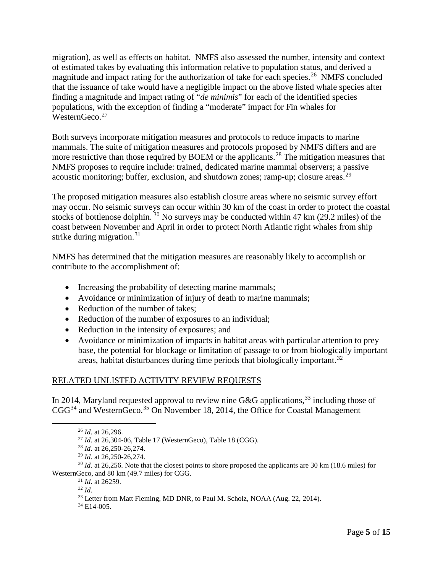migration), as well as effects on habitat. NMFS also assessed the number, intensity and context of estimated takes by evaluating this information relative to population status, and derived a magnitude and impact rating for the authorization of take for each species.<sup>26</sup> NMFS concluded that the issuance of take would have a negligible impact on the above listed whale species after finding a magnitude and impact rating of "*de minimis*" for each of the identified species populations, with the exception of finding a "moderate" impact for Fin whales for WesternGeco.<sup>27</sup>

Both surveys incorporate mitigation measures and protocols to reduce impacts to marine mammals. The suite of mitigation measures and protocols proposed by NMFS differs and are more restrictive than those required by BOEM or the applicants.<sup>[28](#page-4-2)</sup> The mitigation measures that NMFS proposes to require include: trained, dedicated marine mammal observers; a passive acoustic monitoring; buffer, exclusion, and shutdown zones; ramp-up; closure areas.  $^{29}$  $^{29}$  $^{29}$ 

The proposed mitigation measures also establish closure areas where no seismic survey effort may occur. No seismic surveys can occur within 30 km of the coast in order to protect the coastal stocks of bottlenose dolphin.  $30$  No surveys may be conducted within 47 km (29.2 miles) of the coast between November and April in order to protect North Atlantic right whales from ship strike during migration. $31$ 

NMFS has determined that the mitigation measures are reasonably likely to accomplish or contribute to the accomplishment of:

- Increasing the probability of detecting marine mammals;
- Avoidance or minimization of injury of death to marine mammals;
- Reduction of the number of takes;
- Reduction of the number of exposures to an individual;
- Reduction in the intensity of exposures; and
- Avoidance or minimization of impacts in habitat areas with particular attention to prey base, the potential for blockage or limitation of passage to or from biologically important areas, habitat disturbances during time periods that biologically important.<sup>[32](#page-4-6)</sup>

### RELATED UNLISTED ACTIVITY REVIEW REQUESTS

<span id="page-4-0"></span>In 2014, Maryland requested approval to review nine G&G applications,  $33$  including those of  $CGG<sup>34</sup>$  $CGG<sup>34</sup>$  $CGG<sup>34</sup>$  and WesternGeco.<sup>[35](#page-4-1)</sup> On November 18, 2014, the Office for Coastal Management

<span id="page-4-8"></span><span id="page-4-7"></span><span id="page-4-6"></span><span id="page-4-5"></span><span id="page-4-4"></span><span id="page-4-3"></span><span id="page-4-2"></span><span id="page-4-1"></span><sup>30</sup> *Id.* at 26,256. Note that the closest points to shore proposed the applicants are 30 km (18.6 miles) for WesternGeco, and 80 km (49.7 miles) for CGG.

<sup>31</sup> *Id*. at 26259.

<sup>34</sup> E14-005.

 <sup>26</sup> *Id*. at 26,296.

<sup>27</sup> *Id*. at 26,304-06, Table 17 (WesternGeco), Table 18 (CGG).

<sup>28</sup> *Id*. at 26,250-26,274.

<sup>29</sup> *Id.* at 26,250-26,274.

<sup>32</sup> *Id*.

<sup>&</sup>lt;sup>33</sup> Letter from Matt Fleming, MD DNR, to Paul M. Scholz, NOAA (Aug. 22, 2014).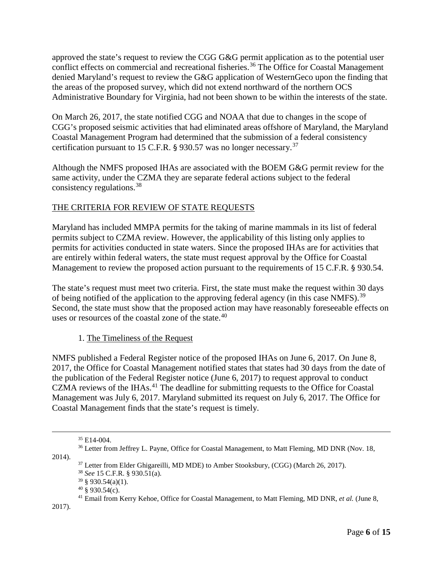approved the state's request to review the CGG G&G permit application as to the potential user conflict effects on commercial and recreational fisheries.<sup>[36](#page-5-0)</sup> The Office for Coastal Management denied Maryland's request to review the G&G application of WesternGeco upon the finding that the areas of the proposed survey, which did not extend northward of the northern OCS Administrative Boundary for Virginia, had not been shown to be within the interests of the state.

On March 26, 2017, the state notified CGG and NOAA that due to changes in the scope of CGG's proposed seismic activities that had eliminated areas offshore of Maryland, the Maryland Coastal Management Program had determined that the submission of a federal consistency certification pursuant to 15 C.F.R. § 930.57 was no longer necessary.[37](#page-5-1)

Although the NMFS proposed IHAs are associated with the BOEM G&G permit review for the same activity, under the CZMA they are separate federal actions subject to the federal consistency regulations.[38](#page-5-2)

## THE CRITERIA FOR REVIEW OF STATE REQUESTS

Maryland has included MMPA permits for the taking of marine mammals in its list of federal permits subject to CZMA review. However, the applicability of this listing only applies to permits for activities conducted in state waters. Since the proposed IHAs are for activities that are entirely within federal waters, the state must request approval by the Office for Coastal Management to review the proposed action pursuant to the requirements of 15 C.F.R. § 930.54.

The state's request must meet two criteria. First, the state must make the request within 30 days of being notified of the application to the approving federal agency (in this case NMFS).<sup>[39](#page-5-3)</sup> Second, the state must show that the proposed action may have reasonably foreseeable effects on uses or resources of the coastal zone of the state.<sup>[40](#page-5-4)</sup>

### 1. The Timeliness of the Request

NMFS published a Federal Register notice of the proposed IHAs on June 6, 2017. On June 8, 2017, the Office for Coastal Management notified states that states had 30 days from the date of the publication of the Federal Register notice (June 6, 2017) to request approval to conduct CZMA reviews of the IHAs.<sup>[41](#page-5-5)</sup> The deadline for submitting requests to the Office for Coastal Management was July 6, 2017. Maryland submitted its request on July 6, 2017. The Office for Coastal Management finds that the state's request is timely.

<span id="page-5-3"></span><span id="page-5-2"></span><span id="page-5-1"></span><span id="page-5-0"></span>2014).

<span id="page-5-5"></span><span id="page-5-4"></span>2017).

 <sup>35</sup> E14-004.

<sup>&</sup>lt;sup>36</sup> Letter from Jeffrey L. Payne, Office for Coastal Management, to Matt Fleming, MD DNR (Nov. 18,

<sup>&</sup>lt;sup>37</sup> Letter from Elder Ghigareilli, MD MDE) to Amber Stooksbury, (CGG) (March 26, 2017).

<sup>38</sup> *See* 15 C.F.R. § 930.51(a).

 $39 \text{ }$  \$ 930.54(a)(1).

 $40 \text{ }$ § 930.54(c).

<sup>41</sup> Email from Kerry Kehoe, Office for Coastal Management, to Matt Fleming, MD DNR, *et al.* (June 8,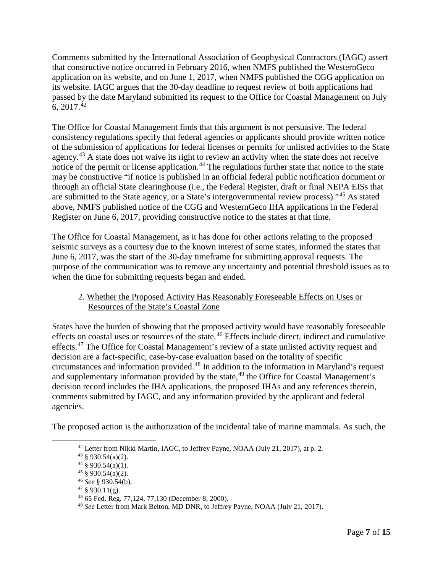Comments submitted by the International Association of Geophysical Contractors (IAGC) assert that constructive notice occurred in February 2016, when NMFS published the WesternGeco application on its website, and on June 1, 2017, when NMFS published the CGG application on its website. IAGC argues that the 30-day deadline to request review of both applications had passed by the date Maryland submitted its request to the Office for Coastal Management on July 6,  $2017.<sup>42</sup>$  $2017.<sup>42</sup>$  $2017.<sup>42</sup>$ 

The Office for Coastal Management finds that this argument is not persuasive. The federal consistency regulations specify that federal agencies or applicants should provide written notice of the submission of applications for federal licenses or permits for unlisted activities to the State agency.<sup>[43](#page-6-1)</sup> A state does not waive its right to review an activity when the state does not receive notice of the permit or license application.<sup>[44](#page-6-2)</sup> The regulations further state that notice to the state may be constructive "if notice is published in an official federal public notification document or through an official State clearinghouse (i.e., the Federal Register, draft or final NEPA EISs that are submitted to the State agency, or a State's intergovernmental review process)."[45](#page-6-3) As stated above, NMFS published notice of the CGG and WesternGeco IHA applications in the Federal Register on June 6, 2017, providing constructive notice to the states at that time.

The Office for Coastal Management, as it has done for other actions relating to the proposed seismic surveys as a courtesy due to the known interest of some states, informed the states that June 6, 2017, was the start of the 30-day timeframe for submitting approval requests. The purpose of the communication was to remove any uncertainty and potential threshold issues as to when the time for submitting requests began and ended.

### 2. Whether the Proposed Activity Has Reasonably Foreseeable Effects on Uses or Resources of the State's Coastal Zone

States have the burden of showing that the proposed activity would have reasonably foreseeable effects on coastal uses or resources of the state.<sup>[46](#page-6-4)</sup> Effects include direct, indirect and cumulative effects.<sup>[47](#page-6-5)</sup> The Office for Coastal Management's review of a state unlisted activity request and decision are a fact-specific, case-by-case evaluation based on the totality of specific circumstances and information provided.[48](#page-6-6) In addition to the information in Maryland's request and supplementary information provided by the state,  $49$  the Office for Coastal Management's decision record includes the IHA applications, the proposed IHAs and any references therein, comments submitted by IAGC, and any information provided by the applicant and federal agencies.

<span id="page-6-4"></span><span id="page-6-3"></span><span id="page-6-2"></span><span id="page-6-1"></span><span id="page-6-0"></span>The proposed action is the authorization of the incidental take of marine mammals. As such, the

<sup>&</sup>lt;sup>42</sup> Letter from Nikki Martin, IAGC, to Jeffrey Payne, NOAA (July 21, 2017), at p. 2.

 $43 \text{ }$  \$930.54(a)(2).

 $44\frac{8}{9}930.54(a)(1)$ .

 $45 \times 930.54(a)(2)$ .

<sup>46</sup> *See* § 930.54(b).

<span id="page-6-5"></span> $47 \text{ }$ § 930.11(g).

<span id="page-6-6"></span><sup>48</sup> 65 Fed. Reg. 77,124, 77,130 (December 8, 2000).

<span id="page-6-7"></span><sup>49</sup> *See* Letter from Mark Belton, MD DNR, to Jeffrey Payne, NOAA (July 21, 2017).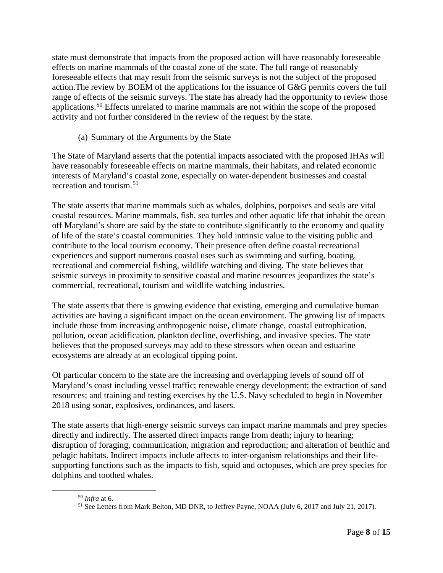state must demonstrate that impacts from the proposed action will have reasonably foreseeable effects on marine mammals of the coastal zone of the state. The full range of reasonably foreseeable effects that may result from the seismic surveys is not the subject of the proposed action.The review by BOEM of the applications for the issuance of G&G permits covers the full range of effects of the seismic surveys. The state has already had the opportunity to review those applications.[50](#page-7-0) Effects unrelated to marine mammals are not within the scope of the proposed activity and not further considered in the review of the request by the state.

### (a) Summary of the Arguments by the State

The State of Maryland asserts that the potential impacts associated with the proposed IHAs will have reasonably foreseeable effects on marine mammals, their habitats, and related economic interests of Maryland's coastal zone, especially on water-dependent businesses and coastal recreation and tourism.[51](#page-7-1)

The state asserts that marine mammals such as whales, dolphins, porpoises and seals are vital coastal resources. Marine mammals, fish, sea turtles and other aquatic life that inhabit the ocean off Maryland's shore are said by the state to contribute significantly to the economy and quality of life of the state's coastal communities. They hold intrinsic value to the visiting public and contribute to the local tourism economy. Their presence often define coastal recreational experiences and support numerous coastal uses such as swimming and surfing, boating, recreational and commercial fishing, wildlife watching and diving. The state believes that seismic surveys in proximity to sensitive coastal and marine resources jeopardizes the state's commercial, recreational, tourism and wildlife watching industries.

The state asserts that there is growing evidence that existing, emerging and cumulative human activities are having a significant impact on the ocean environment. The growing list of impacts include those from increasing anthropogenic noise, climate change, coastal eutrophication, pollution, ocean acidification, plankton decline, overfishing, and invasive species. The state believes that the proposed surveys may add to these stressors when ocean and estuarine ecosystems are already at an ecological tipping point.

Of particular concern to the state are the increasing and overlapping levels of sound off of Maryland's coast including vessel traffic; renewable energy development; the extraction of sand resources; and training and testing exercises by the U.S. Navy scheduled to begin in November 2018 using sonar, explosives, ordinances, and lasers.

The state asserts that high-energy seismic surveys can impact marine mammals and prey species directly and indirectly. The asserted direct impacts range from death; injury to hearing; disruption of foraging, communication, migration and reproduction; and alteration of benthic and pelagic habitats. Indirect impacts include affects to inter-organism relationships and their lifesupporting functions such as the impacts to fish, squid and octopuses, which are prey species for dolphins and toothed whales.

<span id="page-7-1"></span><span id="page-7-0"></span> <sup>50</sup> *Infra* at 6.

<sup>51</sup> See Letters from Mark Belton, MD DNR, to Jeffrey Payne, NOAA (July 6, 2017 and July 21, 2017).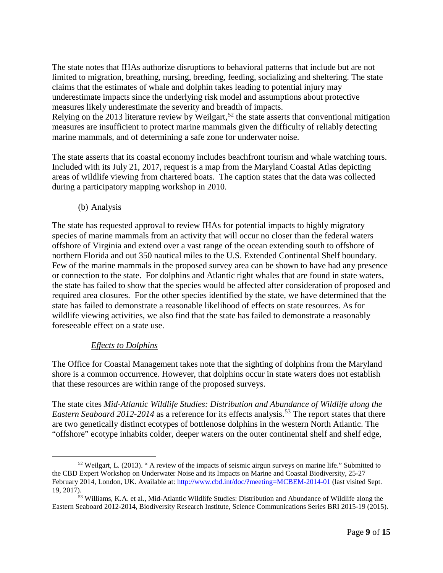The state notes that IHAs authorize disruptions to behavioral patterns that include but are not limited to migration, breathing, nursing, breeding, feeding, socializing and sheltering. The state claims that the estimates of whale and dolphin takes leading to potential injury may underestimate impacts since the underlying risk model and assumptions about protective measures likely underestimate the severity and breadth of impacts. Relying on the 2013 literature review by Weilgart,<sup>[52](#page-8-0)</sup> the state asserts that conventional mitigation measures are insufficient to protect marine mammals given the difficulty of reliably detecting marine mammals, and of determining a safe zone for underwater noise.

The state asserts that its coastal economy includes beachfront tourism and whale watching tours. Included with its July 21, 2017, request is a map from the Maryland Coastal Atlas depicting areas of wildlife viewing from chartered boats. The caption states that the data was collected during a participatory mapping workshop in 2010.

(b) Analysis

The state has requested approval to review IHAs for potential impacts to highly migratory species of marine mammals from an activity that will occur no closer than the federal waters offshore of Virginia and extend over a vast range of the ocean extending south to offshore of northern Florida and out 350 nautical miles to the U.S. Extended Continental Shelf boundary. Few of the marine mammals in the proposed survey area can be shown to have had any presence or connection to the state. For dolphins and Atlantic right whales that are found in state waters, the state has failed to show that the species would be affected after consideration of proposed and required area closures. For the other species identified by the state, we have determined that the state has failed to demonstrate a reasonable likelihood of effects on state resources. As for wildlife viewing activities, we also find that the state has failed to demonstrate a reasonably foreseeable effect on a state use.

### *Effects to Dolphins*

The Office for Coastal Management takes note that the sighting of dolphins from the Maryland shore is a common occurrence. However, that dolphins occur in state waters does not establish that these resources are within range of the proposed surveys.

The state cites *Mid-Atlantic Wildlife Studies: Distribution and Abundance of Wildlife along the Eastern Seaboard 2012-2014* as a reference for its effects analysis.<sup>[53](#page-8-1)</sup> The report states that there are two genetically distinct ecotypes of bottlenose dolphins in the western North Atlantic. The "offshore" ecotype inhabits colder, deeper waters on the outer continental shelf and shelf edge,

<span id="page-8-0"></span><sup>&</sup>lt;sup>52</sup> Weilgart, L. (2013). " A review of the impacts of seismic airgun surveys on marine life." Submitted to the CBD Expert Workshop on Underwater Noise and its Impacts on Marine and Coastal Biodiversity, 25-27 February 2014, London, UK. Available at:<http://www.cbd.int/doc/?meeting=MCBEM-2014-01> (last visited Sept. 19, 2017).<br><sup>53</sup> Williams, K.A. et al., Mid-Atlantic Wildlife Studies: Distribution and Abundance of Wildlife along the

<span id="page-8-1"></span>Eastern Seaboard 2012-2014, Biodiversity Research Institute, Science Communications Series BRI 2015-19 (2015).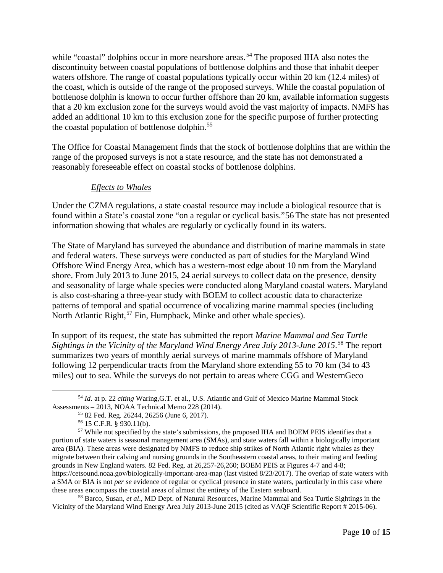while "coastal" dolphins occur in more nearshore areas.<sup>[54](#page-9-0)</sup> The proposed IHA also notes the discontinuity between coastal populations of bottlenose dolphins and those that inhabit deeper waters offshore. The range of coastal populations typically occur within 20 km (12.4 miles) of the coast, which is outside of the range of the proposed surveys. While the coastal population of bottlenose dolphin is known to occur further offshore than 20 km, available information suggests that a 20 km exclusion zone for the surveys would avoid the vast majority of impacts. NMFS has added an additional 10 km to this exclusion zone for the specific purpose of further protecting the coastal population of bottlenose dolphin.<sup>[55](#page-9-1)</sup>

The Office for Coastal Management finds that the stock of bottlenose dolphins that are within the range of the proposed surveys is not a state resource, and the state has not demonstrated a reasonably foreseeable effect on coastal stocks of bottlenose dolphins.

### *Effects to Whales*

Under the CZMA regulations, a state coastal resource may include a biological resource that is found within a State's coastal zone "on a regular or cyclical basis."[56](#page-9-2) The state has not presented information showing that whales are regularly or cyclically found in its waters.

The State of Maryland has surveyed the abundance and distribution of marine mammals in state and federal waters. These surveys were conducted as part of studies for the Maryland Wind Offshore Wind Energy Area, which has a western-most edge about 10 nm from the Maryland shore. From July 2013 to June 2015, 24 aerial surveys to collect data on the presence, density and seasonality of large whale species were conducted along Maryland coastal waters. Maryland is also cost-sharing a three-year study with BOEM to collect acoustic data to characterize patterns of temporal and spatial occurrence of vocalizing marine mammal species (including North Atlantic Right,<sup>[57](#page-9-3)</sup> Fin, Humpback, Minke and other whale species).

In support of its request, the state has submitted the report *Marine Mammal and Sea Turtle Sightings in the Vicinity of the Maryland Wind Energy Area July 2013-June 2015*. [58](#page-9-4) The report summarizes two years of monthly aerial surveys of marine mammals offshore of Maryland following 12 perpendicular tracts from the Maryland shore extending 55 to 70 km (34 to 43 miles) out to sea. While the surveys do not pertain to areas where CGG and WesternGeco

<span id="page-9-4"></span><sup>58</sup> Barco, Susan, *et al*., MD Dept. of Natural Resources, Marine Mammal and Sea Turtle Sightings in the Vicinity of the Maryland Wind Energy Area July 2013-June 2015 (cited as VAQF Scientific Report # 2015-06).

<span id="page-9-0"></span> <sup>54</sup> *Id.* at p. 22 *citing* Waring,G.T. et al., U.S. Atlantic and Gulf of Mexico Marine Mammal Stock Assessments – 2013, NOAA Technical Memo 228 (2014).

<sup>55</sup> 82 Fed. Reg. 26244, 26256 (June 6, 2017).

<sup>56</sup> 15 C.F.R. § 930.11(b).

<span id="page-9-3"></span><span id="page-9-2"></span><span id="page-9-1"></span><sup>&</sup>lt;sup>57</sup> While not specified by the state's submissions, the proposed IHA and BOEM PEIS identifies that a portion of state waters is seasonal management area (SMAs), and state waters fall within a biologically important area (BIA). These areas were designated by NMFS to reduce ship strikes of North Atlantic right whales as they migrate between their calving and nursing grounds in the Southeastern coastal areas, to their mating and feeding grounds in New England waters. 82 Fed. Reg. at 26,257-26,260; BOEM PEIS at Figures 4-7 and 4-8; https://cetsound.noaa.gov/biologically-important-area-map (last visited 8/23/2017). The overlap of state waters with a SMA or BIA is not *per se* evidence of regular or cyclical presence in state waters, particularly in this case where these areas encompass the coastal areas of almost the entirety of the Eastern seaboard.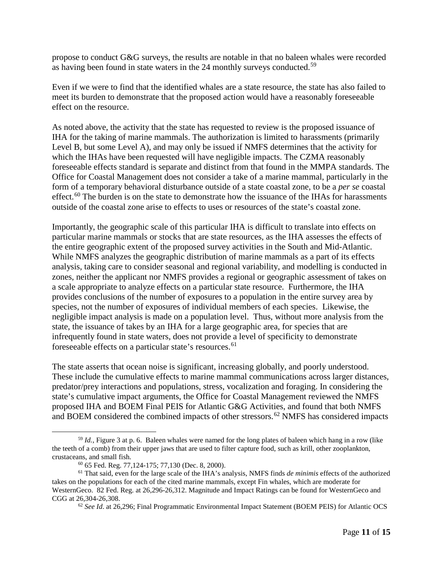propose to conduct G&G surveys, the results are notable in that no baleen whales were recorded as having been found in state waters in the 24 monthly surveys conducted.<sup>[59](#page-10-0)</sup>

Even if we were to find that the identified whales are a state resource, the state has also failed to meet its burden to demonstrate that the proposed action would have a reasonably foreseeable effect on the resource.

As noted above, the activity that the state has requested to review is the proposed issuance of IHA for the taking of marine mammals. The authorization is limited to harassments (primarily Level B, but some Level A), and may only be issued if NMFS determines that the activity for which the IHAs have been requested will have negligible impacts. The CZMA reasonably foreseeable effects standard is separate and distinct from that found in the MMPA standards. The Office for Coastal Management does not consider a take of a marine mammal, particularly in the form of a temporary behavioral disturbance outside of a state coastal zone, to be a *per se* coastal effect.<sup>[60](#page-10-1)</sup> The burden is on the state to demonstrate how the issuance of the IHAs for harassments outside of the coastal zone arise to effects to uses or resources of the state's coastal zone.

Importantly, the geographic scale of this particular IHA is difficult to translate into effects on particular marine mammals or stocks that are state resources, as the IHA assesses the effects of the entire geographic extent of the proposed survey activities in the South and Mid-Atlantic. While NMFS analyzes the geographic distribution of marine mammals as a part of its effects analysis, taking care to consider seasonal and regional variability, and modelling is conducted in zones, neither the applicant nor NMFS provides a regional or geographic assessment of takes on a scale appropriate to analyze effects on a particular state resource. Furthermore, the IHA provides conclusions of the number of exposures to a population in the entire survey area by species, not the number of exposures of individual members of each species. Likewise, the negligible impact analysis is made on a population level. Thus, without more analysis from the state, the issuance of takes by an IHA for a large geographic area, for species that are infrequently found in state waters, does not provide a level of specificity to demonstrate foreseeable effects on a particular state's resources.<sup>[61](#page-10-2)</sup>

The state asserts that ocean noise is significant, increasing globally, and poorly understood. These include the cumulative effects to marine mammal communications across larger distances, predator/prey interactions and populations, stress, vocalization and foraging. In considering the state's cumulative impact arguments, the Office for Coastal Management reviewed the NMFS proposed IHA and BOEM Final PEIS for Atlantic G&G Activities, and found that both NMFS and BOEM considered the combined impacts of other stressors. [62](#page-10-3) NMFS has considered impacts

<span id="page-10-0"></span> <sup>59</sup> *Id.*, Figure 3 at p. 6. Baleen whales were named for the long plates of baleen which hang in a row (like the teeth of a comb) from their upper jaws that are used to filter capture food, such as krill, other zooplankton, crustaceans, and small fish. 60 65 Fed. Reg. 77,124-175; 77,130 (Dec. 8, 2000).

<span id="page-10-3"></span><span id="page-10-2"></span><span id="page-10-1"></span><sup>61</sup> That said, even for the large scale of the IHA's analysis, NMFS finds *de minimis* effects of the authorized takes on the populations for each of the cited marine mammals, except Fin whales, which are moderate for WesternGeco. 82 Fed. Reg. at 26,296-26,312. Magnitude and Impact Ratings can be found for WesternGeco and CGG at 26,304-26,308.

<sup>62</sup> *See Id*. at 26,296; Final Programmatic Environmental Impact Statement (BOEM PEIS) for Atlantic OCS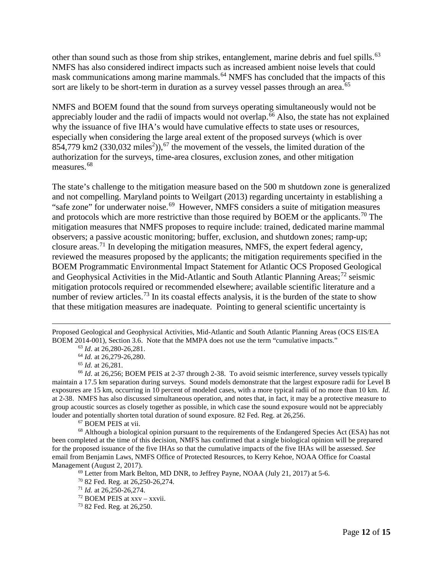other than sound such as those from ship strikes, entanglement, marine debris and fuel spills.<sup>[63](#page-11-0)</sup> NMFS has also considered indirect impacts such as increased ambient noise levels that could mask communications among marine mammals.<sup>[64](#page-11-1)</sup> NMFS has concluded that the impacts of this sort are likely to be short-term in duration as a survey vessel passes through an area.<sup>[65](#page-11-2)</sup>

NMFS and BOEM found that the sound from surveys operating simultaneously would not be appreciably louder and the radii of impacts would not overlap.<sup>[66](#page-11-3)</sup> Also, the state has not explained why the issuance of five IHA's would have cumulative effects to state uses or resources, especially when considering the large areal extent of the proposed surveys (which is over  $854,779$  km2 (330,032 miles<sup>2</sup>)),<sup>[67](#page-11-4)</sup> the movement of the vessels, the limited duration of the authorization for the surveys, time-area closures, exclusion zones, and other mitigation measures.<sup>[68](#page-11-5)</sup>

The state's challenge to the mitigation measure based on the 500 m shutdown zone is generalized and not compelling. Maryland points to Weilgart (2013) regarding uncertainty in establishing a "safe zone" for underwater noise.<sup>69</sup> However, NMFS considers a suite of mitigation measures and protocols which are more restrictive than those required by BOEM or the applicants.<sup>[70](#page-11-7)</sup> The mitigation measures that NMFS proposes to require include: trained, dedicated marine mammal observers; a passive acoustic monitoring; buffer, exclusion, and shutdown zones; ramp-up; closure areas.<sup>[71](#page-11-8)</sup> In developing the mitigation measures, NMFS, the expert federal agency, reviewed the measures proposed by the applicants; the mitigation requirements specified in the BOEM Programmatic Environmental Impact Statement for Atlantic OCS Proposed Geological and Geophysical Activities in the Mid-Atlantic and South Atlantic Planning Areas;<sup>[72](#page-11-9)</sup> seismic mitigation protocols required or recommended elsewhere; available scientific literature and a number of review articles.<sup>[73](#page-11-10)</sup> In its coastal effects analysis, it is the burden of the state to show that these mitigation measures are inadequate. Pointing to general scientific uncertainty is

 $\overline{a}$ Proposed Geological and Geophysical Activities, Mid-Atlantic and South Atlantic Planning Areas (OCS EIS/EA BOEM 2014-001), Section 3.6. Note that the MMPA does not use the term "cumulative impacts."

<sup>63</sup> *Id*. at 26,280-26,281.

<sup>64</sup> *Id.* at 26,279-26,280.

<sup>65</sup> *Id.* at 26,281.

<span id="page-11-3"></span><span id="page-11-2"></span><span id="page-11-1"></span><span id="page-11-0"></span><sup>&</sup>lt;sup>66</sup> *Id.* at 26,256; BOEM PEIS at 2-37 through 2-38. To avoid seismic interference, survey vessels typically maintain a 17.5 km separation during surveys. Sound models demonstrate that the largest exposure radii for Level B exposures are 15 km, occurring in 10 percent of modeled cases, with a more typical radii of no more than 10 km. *Id.* at 2-38. NMFS has also discussed simultaneous operation, and notes that, in fact, it may be a protective measure to group acoustic sources as closely together as possible, in which case the sound exposure would not be appreciably louder and potentially shorten total duration of sound exposure. 82 Fed. Reg. at 26,256. <sup>67</sup> BOEM PEIS at vii.

<span id="page-11-8"></span><span id="page-11-7"></span><span id="page-11-6"></span><span id="page-11-5"></span><span id="page-11-4"></span><sup>&</sup>lt;sup>68</sup> Although a biological opinion pursuant to the requirements of the Endangered Species Act (ESA) has not been completed at the time of this decision, NMFS has confirmed that a single biological opinion will be prepared for the proposed issuance of the five IHAs so that the cumulative impacts of the five IHAs will be assessed. *See* email from Benjamin Laws, NMFS Office of Protected Resources, to Kerry Kehoe, NOAA Office for Coastal Management (August 2, 2017).

<sup>&</sup>lt;sup>69</sup> Letter from Mark Belton, MD DNR, to Jeffrey Payne, NOAA (July 21, 2017) at 5-6.

<sup>70</sup> 82 Fed. Reg. at 26,250-26,274.

<sup>71</sup> *Id.* at 26,250-26,274.

<span id="page-11-9"></span><sup>72</sup> BOEM PEIS at xxv – xxvii.

<span id="page-11-10"></span><sup>73</sup> 82 Fed. Reg. at 26,250.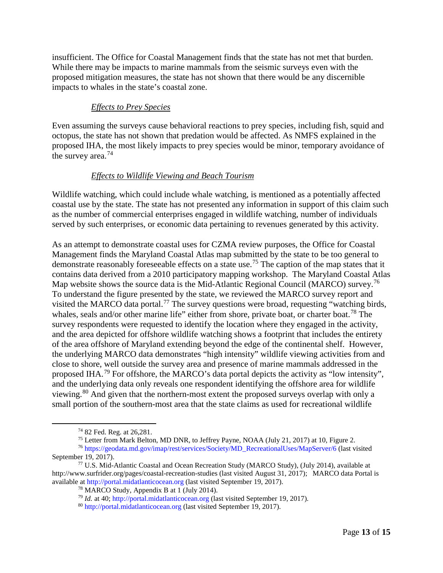insufficient. The Office for Coastal Management finds that the state has not met that burden. While there may be impacts to marine mammals from the seismic surveys even with the proposed mitigation measures, the state has not shown that there would be any discernible impacts to whales in the state's coastal zone.

#### *Effects to Prey Species*

Even assuming the surveys cause behavioral reactions to prey species, including fish, squid and octopus, the state has not shown that predation would be affected. As NMFS explained in the proposed IHA, the most likely impacts to prey species would be minor, temporary avoidance of the survey area.<sup>[74](#page-12-0)</sup>

#### *Effects to Wildlife Viewing and Beach Tourism*

Wildlife watching, which could include whale watching, is mentioned as a potentially affected coastal use by the state. The state has not presented any information in support of this claim such as the number of commercial enterprises engaged in wildlife watching, number of individuals served by such enterprises, or economic data pertaining to revenues generated by this activity.

As an attempt to demonstrate coastal uses for CZMA review purposes, the Office for Coastal Management finds the Maryland Coastal Atlas map submitted by the state to be too general to demonstrate reasonably foreseeable effects on a state use.<sup>[75](#page-12-1)</sup> The caption of the map states that it contains data derived from a 2010 participatory mapping workshop. The Maryland Coastal Atlas Map website shows the source data is the Mid-Atlantic Regional Council (MARCO) survey.<sup>[76](#page-12-2)</sup> To understand the figure presented by the state, we reviewed the MARCO survey report and visited the MARCO data portal.<sup>[77](#page-12-3)</sup> The survey questions were broad, requesting "watching birds, whales, seals and/or other marine life" either from shore, private boat, or charter boat.<sup>[78](#page-12-4)</sup> The survey respondents were requested to identify the location where they engaged in the activity, and the area depicted for offshore wildlife watching shows a footprint that includes the entirety of the area offshore of Maryland extending beyond the edge of the continental shelf. However, the underlying MARCO data demonstrates "high intensity" wildlife viewing activities from and close to shore, well outside the survey area and presence of marine mammals addressed in the proposed IHA.<sup>[79](#page-12-5)</sup> For offshore, the MARCO's data portal depicts the activity as "low intensity", and the underlying data only reveals one respondent identifying the offshore area for wildlife viewing.[80](#page-12-6) And given that the northern-most extent the proposed surveys overlap with only a small portion of the southern-most area that the state claims as used for recreational wildlife

 <sup>74</sup> 82 Fed. Reg. at 26,281.

<sup>75</sup> Letter from Mark Belton, MD DNR, to Jeffrey Payne, NOAA (July 21, 2017) at 10, Figure 2.

<span id="page-12-2"></span><span id="page-12-1"></span><span id="page-12-0"></span><sup>76</sup> [https://geodata.md.gov/imap/rest/services/Society/MD\\_RecreationalUses/MapServer/6](https://geodata.md.gov/imap/rest/services/Society/MD_RecreationalUses/MapServer/6) (last visited September 19, 2017).

<span id="page-12-6"></span><span id="page-12-5"></span><span id="page-12-4"></span><span id="page-12-3"></span><sup>77</sup> U.S. Mid-Atlantic Coastal and Ocean Recreation Study (MARCO Study), (July 2014), available at http://www.surfrider.org/pages/coastal-recreation-studies (last visited August 31, 2017); MARCO data Portal is available at [http://portal.midatlanticocean.org](http://portal.midatlanticocean.org/) (last visited September 19, 2017).

<sup>78</sup> MARCO Study, Appendix B at 1 (July 2014).

<sup>79</sup> *Id.* at 40; [http://portal.midatlanticocean.org](http://portal.midatlanticocean.org/) (last visited September 19, 2017).

<sup>80</sup> [http://portal.midatlanticocean.org](http://portal.midatlanticocean.org/) (last visited September 19, 2017).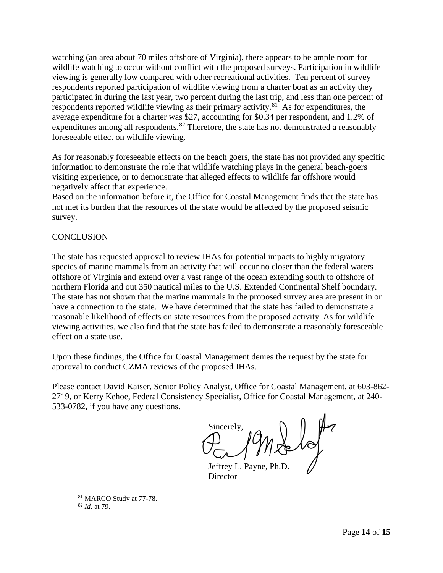watching (an area about 70 miles offshore of Virginia), there appears to be ample room for wildlife watching to occur without conflict with the proposed surveys. Participation in wildlife viewing is generally low compared with other recreational activities. Ten percent of survey respondents reported participation of wildlife viewing from a charter boat as an activity they participated in during the last year, two percent during the last trip, and less than one percent of respondents reported wildlife viewing as their primary activity.<sup>[81](#page-13-0)</sup> As for expenditures, the average expenditure for a charter was \$27, accounting for \$0.34 per respondent, and 1.2% of expenditures among all respondents.<sup>[82](#page-13-1)</sup> Therefore, the state has not demonstrated a reasonably foreseeable effect on wildlife viewing.

As for reasonably foreseeable effects on the beach goers, the state has not provided any specific information to demonstrate the role that wildlife watching plays in the general beach-goers visiting experience, or to demonstrate that alleged effects to wildlife far offshore would negatively affect that experience.

Based on the information before it, the Office for Coastal Management finds that the state has not met its burden that the resources of the state would be affected by the proposed seismic survey.

### **CONCLUSION**

The state has requested approval to review IHAs for potential impacts to highly migratory species of marine mammals from an activity that will occur no closer than the federal waters offshore of Virginia and extend over a vast range of the ocean extending south to offshore of northern Florida and out 350 nautical miles to the U.S. Extended Continental Shelf boundary. The state has not shown that the marine mammals in the proposed survey area are present in or have a connection to the state. We have determined that the state has failed to demonstrate a reasonable likelihood of effects on state resources from the proposed activity. As for wildlife viewing activities, we also find that the state has failed to demonstrate a reasonably foreseeable effect on a state use.

Upon these findings, the Office for Coastal Management denies the request by the state for approval to conduct CZMA reviews of the proposed IHAs.

Please contact David Kaiser, Senior Policy Analyst, Office for Coastal Management, at 603-862- 2719, or Kerry Kehoe, Federal Consistency Specialist, Office for Coastal Management, at 240- 533-0782, if you have any questions.

Sincerely,  $y \geqslant 10$ 

Jeffrey L. Payne, Ph.D. **Director** 

<span id="page-13-1"></span><span id="page-13-0"></span> 81 MARCO Study at 77-78. <sup>82</sup> *Id*. at 79.